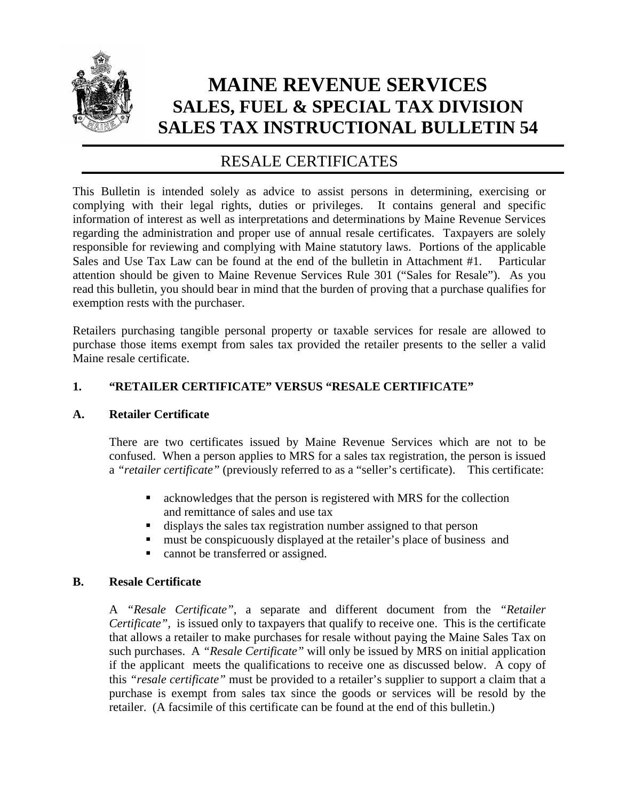

# **MAINE REVENUE SERVICES SALES, FUEL & SPECIAL TAX DIVISION SALES TAX INSTRUCTIONAL BULLETIN 54**

# RESALE CERTIFICATES

This Bulletin is intended solely as advice to assist persons in determining, exercising or complying with their legal rights, duties or privileges. It contains general and specific information of interest as well as interpretations and determinations by Maine Revenue Services regarding the administration and proper use of annual resale certificates. Taxpayers are solely responsible for reviewing and complying with Maine statutory laws. Portions of the applicable Sales and Use Tax Law can be found at the end of the bulletin in Attachment #1. Particular attention should be given to Maine Revenue Services Rule 301 ("Sales for Resale"). As you read this bulletin, you should bear in mind that the burden of proving that a purchase qualifies for exemption rests with the purchaser.

Retailers purchasing tangible personal property or taxable services for resale are allowed to purchase those items exempt from sales tax provided the retailer presents to the seller a valid Maine resale certificate.

# **1. "RETAILER CERTIFICATE" VERSUS "RESALE CERTIFICATE"**

# **A. Retailer Certificate**

There are two certificates issued by Maine Revenue Services which are not to be confused. When a person applies to MRS for a sales tax registration, the person is issued a *"retailer certificate"* (previously referred to as a "seller's certificate). This certificate:

- acknowledges that the person is registered with MRS for the collection and remittance of sales and use tax
- displays the sales tax registration number assigned to that person
- must be conspicuously displayed at the retailer's place of business and
- cannot be transferred or assigned.

# **B. Resale Certificate**

A *"Resale Certificate"*, a separate and different document from the *"Retailer Certificate"*, is issued only to taxpayers that qualify to receive one. This is the certificate that allows a retailer to make purchases for resale without paying the Maine Sales Tax on such purchases. A *"Resale Certificate"* will only be issued by MRS on initial application if the applicant meets the qualifications to receive one as discussed below. A copy of this *"resale certificate"* must be provided to a retailer's supplier to support a claim that a purchase is exempt from sales tax since the goods or services will be resold by the retailer. (A facsimile of this certificate can be found at the end of this bulletin.)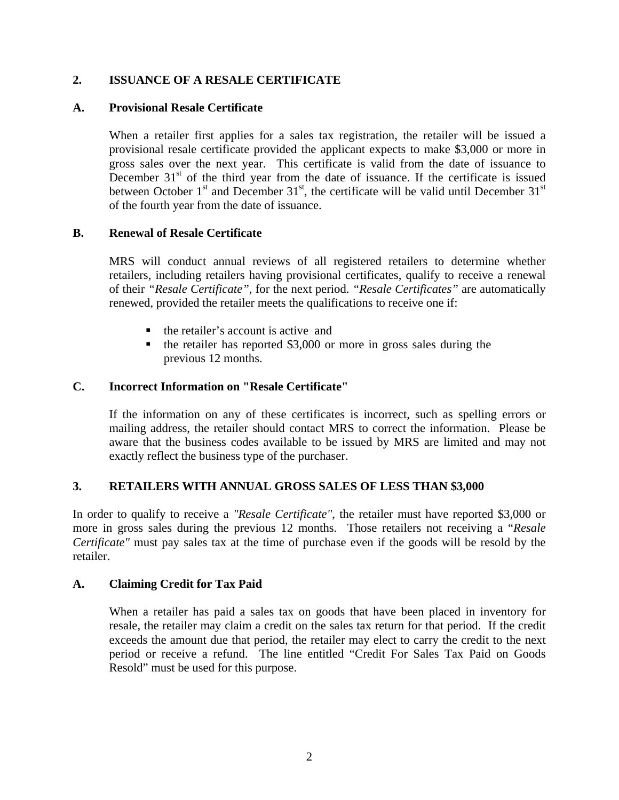### **2. ISSUANCE OF A RESALE CERTIFICATE**

#### **A. Provisional Resale Certificate**

When a retailer first applies for a sales tax registration, the retailer will be issued a provisional resale certificate provided the applicant expects to make \$3,000 or more in gross sales over the next year. This certificate is valid from the date of issuance to December  $31<sup>st</sup>$  of the third year from the date of issuance. If the certificate is issued between October  $1<sup>st</sup>$  and December  $31<sup>st</sup>$ , the certificate will be valid until December  $31<sup>st</sup>$ of the fourth year from the date of issuance.

#### **B. Renewal of Resale Certificate**

MRS will conduct annual reviews of all registered retailers to determine whether retailers, including retailers having provisional certificates, qualify to receive a renewal of their *"Resale Certificate"*, for the next period. *"Resale Certificates"* are automatically renewed, provided the retailer meets the qualifications to receive one if:

- $\blacksquare$  the retailer's account is active and
- $\bullet$  the retailer has reported \$3,000 or more in gross sales during the previous 12 months.

#### **C. Incorrect Information on "Resale Certificate"**

If the information on any of these certificates is incorrect, such as spelling errors or mailing address, the retailer should contact MRS to correct the information. Please be aware that the business codes available to be issued by MRS are limited and may not exactly reflect the business type of the purchaser.

#### **3. RETAILERS WITH ANNUAL GROSS SALES OF LESS THAN \$3,000**

In order to qualify to receive a *"Resale Certificate"*, the retailer must have reported \$3,000 or more in gross sales during the previous 12 months. Those retailers not receiving a "*Resale Certificate"* must pay sales tax at the time of purchase even if the goods will be resold by the retailer.

#### **A. Claiming Credit for Tax Paid**

When a retailer has paid a sales tax on goods that have been placed in inventory for resale, the retailer may claim a credit on the sales tax return for that period. If the credit exceeds the amount due that period, the retailer may elect to carry the credit to the next period or receive a refund. The line entitled "Credit For Sales Tax Paid on Goods Resold" must be used for this purpose.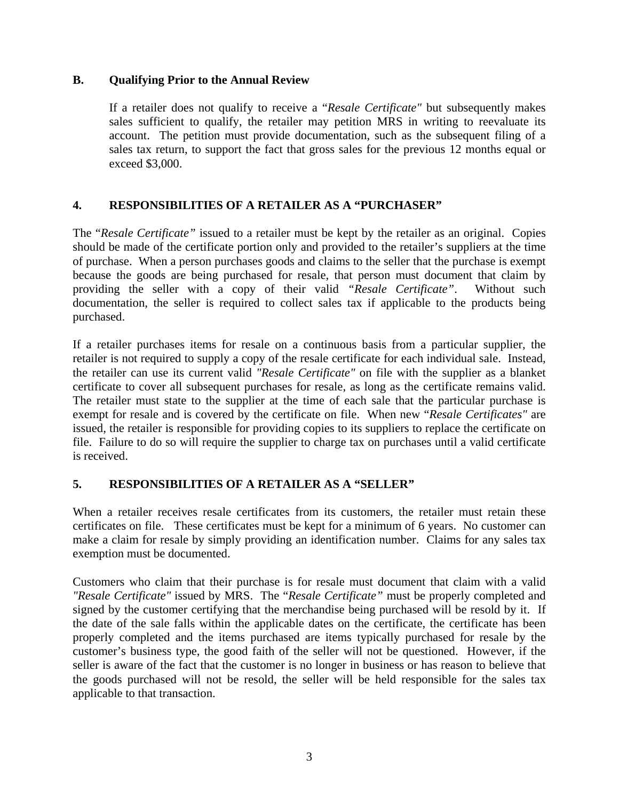### **B. Qualifying Prior to the Annual Review**

If a retailer does not qualify to receive a "*Resale Certificate"* but subsequently makes sales sufficient to qualify, the retailer may petition MRS in writing to reevaluate its account. The petition must provide documentation, such as the subsequent filing of a sales tax return, to support the fact that gross sales for the previous 12 months equal or exceed \$3,000.

# **4. RESPONSIBILITIES OF A RETAILER AS A "PURCHASER"**

The "*Resale Certificate"* issued to a retailer must be kept by the retailer as an original. Copies should be made of the certificate portion only and provided to the retailer's suppliers at the time of purchase. When a person purchases goods and claims to the seller that the purchase is exempt because the goods are being purchased for resale, that person must document that claim by providing the seller with a copy of their valid *"Resale Certificate"*. Without such documentation, the seller is required to collect sales tax if applicable to the products being purchased.

If a retailer purchases items for resale on a continuous basis from a particular supplier, the retailer is not required to supply a copy of the resale certificate for each individual sale. Instead, the retailer can use its current valid *"Resale Certificate"* on file with the supplier as a blanket certificate to cover all subsequent purchases for resale, as long as the certificate remains valid. The retailer must state to the supplier at the time of each sale that the particular purchase is exempt for resale and is covered by the certificate on file. When new "*Resale Certificates"* are issued, the retailer is responsible for providing copies to its suppliers to replace the certificate on file. Failure to do so will require the supplier to charge tax on purchases until a valid certificate is received.

# **5. RESPONSIBILITIES OF A RETAILER AS A "SELLER"**

When a retailer receives resale certificates from its customers, the retailer must retain these certificates on file. These certificates must be kept for a minimum of 6 years. No customer can make a claim for resale by simply providing an identification number. Claims for any sales tax exemption must be documented.

Customers who claim that their purchase is for resale must document that claim with a valid *"Resale Certificate"* issued by MRS. The "*Resale Certificate"* must be properly completed and signed by the customer certifying that the merchandise being purchased will be resold by it. If the date of the sale falls within the applicable dates on the certificate, the certificate has been properly completed and the items purchased are items typically purchased for resale by the customer's business type, the good faith of the seller will not be questioned. However, if the seller is aware of the fact that the customer is no longer in business or has reason to believe that the goods purchased will not be resold, the seller will be held responsible for the sales tax applicable to that transaction.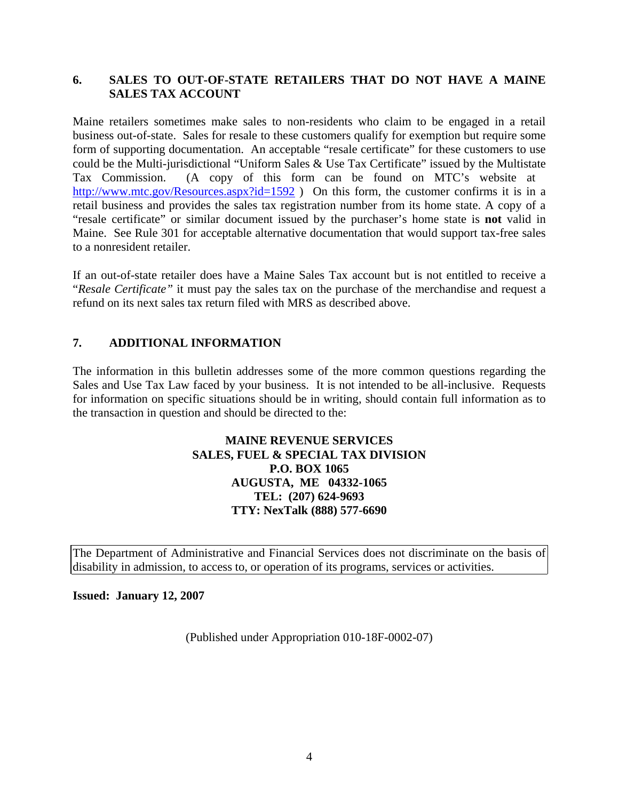### **6. SALES TO OUT-OF-STATE RETAILERS THAT DO NOT HAVE A MAINE SALES TAX ACCOUNT**

Maine retailers sometimes make sales to non-residents who claim to be engaged in a retail business out-of-state. Sales for resale to these customers qualify for exemption but require some form of supporting documentation. An acceptable "resale certificate" for these customers to use could be the Multi-jurisdictional "Uniform Sales & Use Tax Certificate" issued by the Multistate Tax Commission. (A copy of this form can be found on MTC's website at <http://www.mtc.gov/Resources.aspx?id=1592>) On this form, the customer confirms it is in a retail business and provides the sales tax registration number from its home state. A copy of a "resale certificate" or similar document issued by the purchaser's home state is **not** valid in Maine. See Rule 301 for acceptable alternative documentation that would support tax-free sales to a nonresident retailer.

If an out-of-state retailer does have a Maine Sales Tax account but is not entitled to receive a "*Resale Certificate"* it must pay the sales tax on the purchase of the merchandise and request a refund on its next sales tax return filed with MRS as described above.

#### **7. ADDITIONAL INFORMATION**

The information in this bulletin addresses some of the more common questions regarding the Sales and Use Tax Law faced by your business. It is not intended to be all-inclusive. Requests for information on specific situations should be in writing, should contain full information as to the transaction in question and should be directed to the:

# **MAINE REVENUE SERVICES SALES, FUEL & SPECIAL TAX DIVISION P.O. BOX 1065 AUGUSTA, ME 04332-1065 TEL: (207) 624-9693 TTY: NexTalk (888) 577-6690**

The Department of Administrative and Financial Services does not discriminate on the basis of disability in admission, to access to, or operation of its programs, services or activities.

**Issued: January 12, 2007** 

(Published under Appropriation 010-18F-0002-07)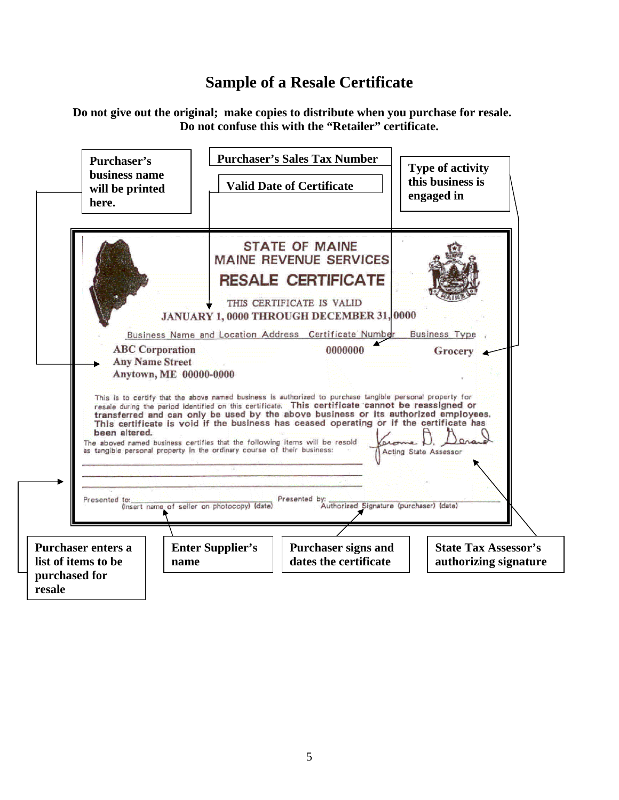# **Sample of a Resale Certificate**

**Do not give out the original; make copies to distribute when you purchase for resale. Do not confuse this with the "Retailer" certificate.** 

| Purchaser's<br>business name<br>will be printed<br>here.                                                                                                                                                                                              |                                             | <b>Purchaser's Sales Tax Number</b><br><b>Valid Date of Certificate</b>                                                                                                                                                                                                                                                                                                                                                                                              | <b>Type of activity</b><br>this business is<br>engaged in       |
|-------------------------------------------------------------------------------------------------------------------------------------------------------------------------------------------------------------------------------------------------------|---------------------------------------------|----------------------------------------------------------------------------------------------------------------------------------------------------------------------------------------------------------------------------------------------------------------------------------------------------------------------------------------------------------------------------------------------------------------------------------------------------------------------|-----------------------------------------------------------------|
|                                                                                                                                                                                                                                                       |                                             | <b>STATE OF MAINE</b><br><b>MAINE REVENUE SERVICES</b><br><b>RESALE CERTIFICATE</b><br>THIS CERTIFICATE IS VALID<br>JANUARY 1, 0000 THROUGH DECEMBER 31, 0000                                                                                                                                                                                                                                                                                                        |                                                                 |
| <b>ABC</b> Corporation<br><b>Any Name Street</b><br>Anytown, ME 00000-0000<br>been altered.<br>The aboved named business certifies that the following items will be resold<br>as tangible personal property in the ordinary course of their business: |                                             | Business Name and Location Address Certificate Number<br>0000000<br>This is to certify that the above named business is authorized to purchase tangible personal property for<br>resale during the period identified on this certificate. This certificate cannot be reassigned or<br>transferred and can only be used by the above business or its authorized employees.<br>This certificate is void if the business has ceased operating or if the certificate has | <b>Business Type</b><br><b>Grocery</b><br>Acting State Assessor |
| Presented to:                                                                                                                                                                                                                                         | (insert name of seller on photocopy) (date, | Presented by:<br>Authorized Signature (purchaser) (date)                                                                                                                                                                                                                                                                                                                                                                                                             |                                                                 |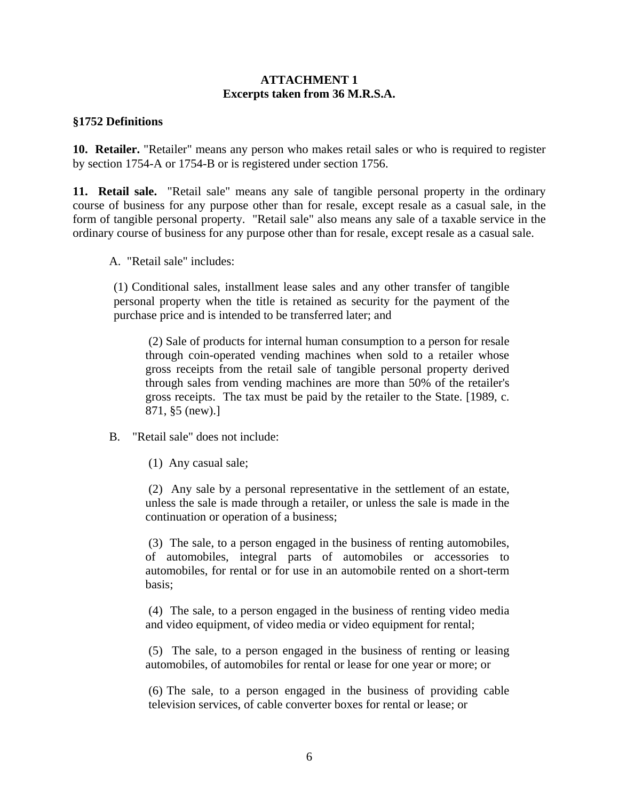#### **ATTACHMENT 1 Excerpts taken from 36 M.R.S.A.**

#### **§1752 Definitions**

**10. Retailer.** "Retailer" means any person who makes retail sales or who is required to register by section 1754-A or 1754-B or is registered under section 1756.

**11. Retail sale.** "Retail sale" means any sale of tangible personal property in the ordinary course of business for any purpose other than for resale, except resale as a casual sale, in the form of tangible personal property. "Retail sale" also means any sale of a taxable service in the ordinary course of business for any purpose other than for resale, except resale as a casual sale.

A. "Retail sale" includes:

(1) Conditional sales, installment lease sales and any other transfer of tangible personal property when the title is retained as security for the payment of the purchase price and is intended to be transferred later; and

(2) Sale of products for internal human consumption to a person for resale through coin-operated vending machines when sold to a retailer whose gross receipts from the retail sale of tangible personal property derived through sales from vending machines are more than 50% of the retailer's gross receipts. The tax must be paid by the retailer to the State. [1989, c. 871, §5 (new).]

- B. "Retail sale" does not include:
	- (1) Any casual sale;

(2) Any sale by a personal representative in the settlement of an estate, unless the sale is made through a retailer, or unless the sale is made in the continuation or operation of a business;

(3) The sale, to a person engaged in the business of renting automobiles, of automobiles, integral parts of automobiles or accessories to automobiles, for rental or for use in an automobile rented on a short-term basis;

(4) The sale, to a person engaged in the business of renting video media and video equipment, of video media or video equipment for rental;

(5) The sale, to a person engaged in the business of renting or leasing automobiles, of automobiles for rental or lease for one year or more; or

(6) The sale, to a person engaged in the business of providing cable television services, of cable converter boxes for rental or lease; or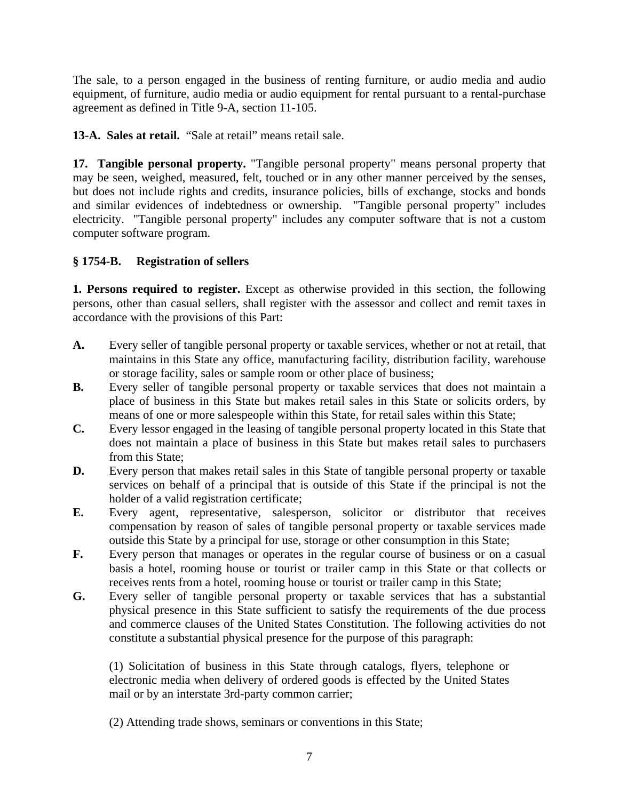The sale, to a person engaged in the business of renting furniture, or audio media and audio equipment, of furniture, audio media or audio equipment for rental pursuant to a rental-purchase agreement as defined in Title 9-A, section 11-105.

**13-A. Sales at retail.** "Sale at retail" means retail sale.

**17. Tangible personal property.** "Tangible personal property" means personal property that may be seen, weighed, measured, felt, touched or in any other manner perceived by the senses, but does not include rights and credits, insurance policies, bills of exchange, stocks and bonds and similar evidences of indebtedness or ownership. "Tangible personal property" includes electricity. "Tangible personal property" includes any computer software that is not a custom computer software program.

# **§ 1754-B. Registration of sellers**

**1. Persons required to register.** Except as otherwise provided in this section, the following persons, other than casual sellers, shall register with the assessor and collect and remit taxes in accordance with the provisions of this Part:

- **A.** Every seller of tangible personal property or taxable services, whether or not at retail, that maintains in this State any office, manufacturing facility, distribution facility, warehouse or storage facility, sales or sample room or other place of business;
- **B.** Every seller of tangible personal property or taxable services that does not maintain a place of business in this State but makes retail sales in this State or solicits orders, by means of one or more salespeople within this State, for retail sales within this State;
- **C.** Every lessor engaged in the leasing of tangible personal property located in this State that does not maintain a place of business in this State but makes retail sales to purchasers from this State;
- **D.** Every person that makes retail sales in this State of tangible personal property or taxable services on behalf of a principal that is outside of this State if the principal is not the holder of a valid registration certificate;
- **E.** Every agent, representative, salesperson, solicitor or distributor that receives compensation by reason of sales of tangible personal property or taxable services made outside this State by a principal for use, storage or other consumption in this State;
- **F.** Every person that manages or operates in the regular course of business or on a casual basis a hotel, rooming house or tourist or trailer camp in this State or that collects or receives rents from a hotel, rooming house or tourist or trailer camp in this State;
- **G.** Every seller of tangible personal property or taxable services that has a substantial physical presence in this State sufficient to satisfy the requirements of the due process and commerce clauses of the United States Constitution. The following activities do not constitute a substantial physical presence for the purpose of this paragraph:

(1) Solicitation of business in this State through catalogs, flyers, telephone or electronic media when delivery of ordered goods is effected by the United States mail or by an interstate 3rd-party common carrier;

(2) Attending trade shows, seminars or conventions in this State;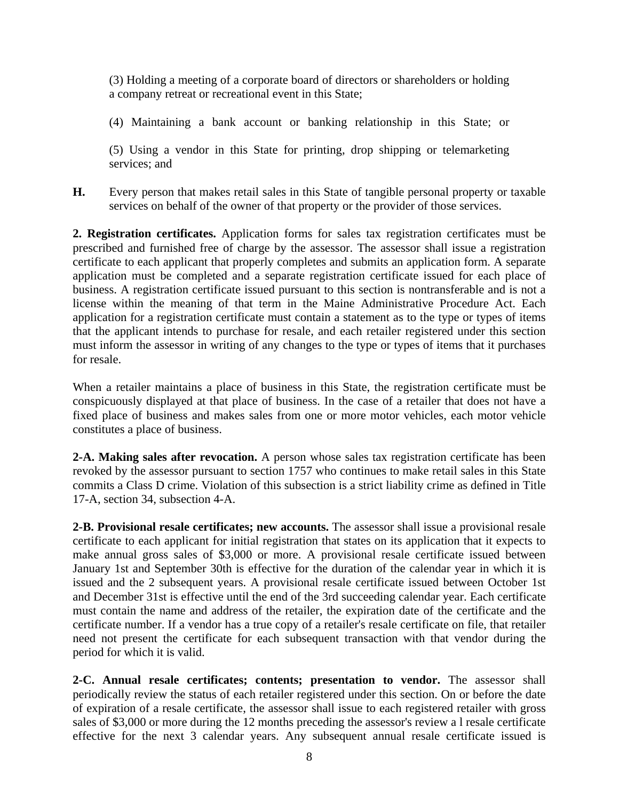(3) Holding a meeting of a corporate board of directors or shareholders or holding a company retreat or recreational event in this State;

(4) Maintaining a bank account or banking relationship in this State; or

(5) Using a vendor in this State for printing, drop shipping or telemarketing services; and

**H.** Every person that makes retail sales in this State of tangible personal property or taxable services on behalf of the owner of that property or the provider of those services.

**2. Registration certificates.** Application forms for sales tax registration certificates must be prescribed and furnished free of charge by the assessor. The assessor shall issue a registration certificate to each applicant that properly completes and submits an application form. A separate application must be completed and a separate registration certificate issued for each place of business. A registration certificate issued pursuant to this section is nontransferable and is not a license within the meaning of that term in the Maine Administrative Procedure Act. Each application for a registration certificate must contain a statement as to the type or types of items that the applicant intends to purchase for resale, and each retailer registered under this section must inform the assessor in writing of any changes to the type or types of items that it purchases for resale.

When a retailer maintains a place of business in this State, the registration certificate must be conspicuously displayed at that place of business. In the case of a retailer that does not have a fixed place of business and makes sales from one or more motor vehicles, each motor vehicle constitutes a place of business.

**2-A. Making sales after revocation.** A person whose sales tax registration certificate has been revoked by the assessor pursuant to section 1757 who continues to make retail sales in this State commits a Class D crime. Violation of this subsection is a strict liability crime as defined in Title 17-A, section 34, subsection 4-A.

**2-B. Provisional resale certificates; new accounts.** The assessor shall issue a provisional resale certificate to each applicant for initial registration that states on its application that it expects to make annual gross sales of \$3,000 or more. A provisional resale certificate issued between January 1st and September 30th is effective for the duration of the calendar year in which it is issued and the 2 subsequent years. A provisional resale certificate issued between October 1st and December 31st is effective until the end of the 3rd succeeding calendar year. Each certificate must contain the name and address of the retailer, the expiration date of the certificate and the certificate number. If a vendor has a true copy of a retailer's resale certificate on file, that retailer need not present the certificate for each subsequent transaction with that vendor during the period for which it is valid.

**2-C. Annual resale certificates; contents; presentation to vendor.** The assessor shall periodically review the status of each retailer registered under this section. On or before the date of expiration of a resale certificate, the assessor shall issue to each registered retailer with gross sales of \$3,000 or more during the 12 months preceding the assessor's review a l resale certificate effective for the next 3 calendar years. Any subsequent annual resale certificate issued is